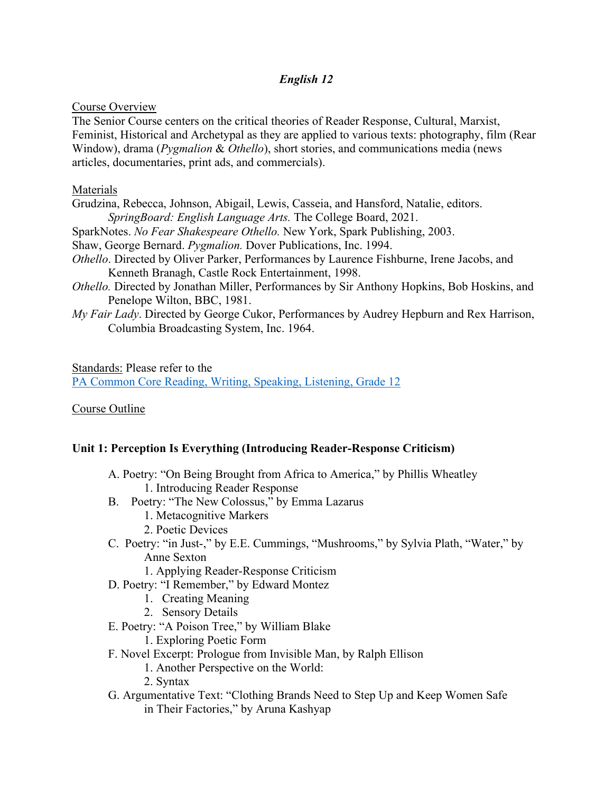# *English 12*

#### Course Overview

The Senior Course centers on the critical theories of Reader Response, Cultural, Marxist, Feminist, Historical and Archetypal as they are applied to various texts: photography, film (Rear Window), drama (*Pygmalion* & *Othello*), short stories, and communications media (news articles, documentaries, print ads, and commercials).

### Materials

Grudzina, Rebecca, Johnson, Abigail, Lewis, Casseia, and Hansford, Natalie, editors. *SpringBoard: English Language Arts.* The College Board, 2021.

SparkNotes. *No Fear Shakespeare Othello.* New York, Spark Publishing, 2003.

- Shaw, George Bernard. *Pygmalion.* Dover Publications, Inc. 1994.
- *Othello*. Directed by Oliver Parker, Performances by Laurence Fishburne, Irene Jacobs, and Kenneth Branagh, Castle Rock Entertainment, 1998.
- *Othello.* Directed by Jonathan Miller, Performances by Sir Anthony Hopkins, Bob Hoskins, and Penelope Wilton, BBC, 1981.
- *My Fair Lady*. Directed by George Cukor, Performances by Audrey Hepburn and Rex Harrison, Columbia Broadcasting System, Inc. 1964.

### Standards: Please refer to the

PA Common Core Reading, Writing, Speaking, Listening, Grade 12

### Course Outline

### **Unit 1: Perception Is Everything (Introducing Reader-Response Criticism)**

- A. Poetry: "On Being Brought from Africa to America," by Phillis Wheatley 1. Introducing Reader Response
- B. Poetry: "The New Colossus," by Emma Lazarus
	- 1. Metacognitive Markers
	- 2. Poetic Devices
- C. Poetry: "in Just-," by E.E. Cummings, "Mushrooms," by Sylvia Plath, "Water," by Anne Sexton

1. Applying Reader-Response Criticism

- D. Poetry: "I Remember," by Edward Montez
	- 1. Creating Meaning
	- 2. Sensory Details
- E. Poetry: "A Poison Tree," by William Blake
	- 1. Exploring Poetic Form
- F. Novel Excerpt: Prologue from Invisible Man, by Ralph Ellison
	- 1. Another Perspective on the World:
	- 2. Syntax
- G. Argumentative Text: "Clothing Brands Need to Step Up and Keep Women Safe in Their Factories," by Aruna Kashyap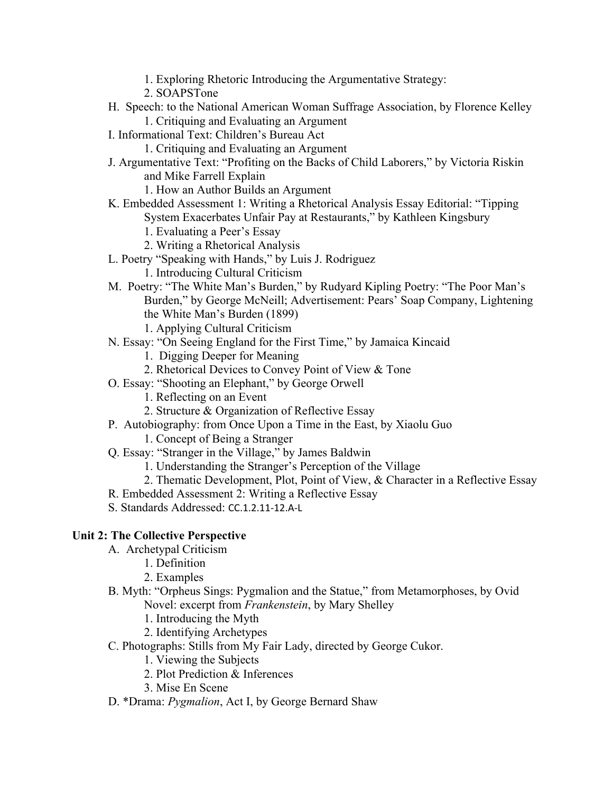1. Exploring Rhetoric Introducing the Argumentative Strategy:

2. SOAPSTone

- H. Speech: to the National American Woman Suffrage Association, by Florence Kelley
	- 1. Critiquing and Evaluating an Argument
- I. Informational Text: Children's Bureau Act
	- 1. Critiquing and Evaluating an Argument
- J. Argumentative Text: "Profiting on the Backs of Child Laborers," by Victoria Riskin and Mike Farrell Explain
	- 1. How an Author Builds an Argument
- K. Embedded Assessment 1: Writing a Rhetorical Analysis Essay Editorial: "Tipping System Exacerbates Unfair Pay at Restaurants," by Kathleen Kingsbury
	- 1. Evaluating a Peer's Essay
	- 2. Writing a Rhetorical Analysis
- L. Poetry "Speaking with Hands," by Luis J. Rodriguez
	- 1. Introducing Cultural Criticism
- M. Poetry: "The White Man's Burden," by Rudyard Kipling Poetry: "The Poor Man's Burden," by George McNeill; Advertisement: Pears' Soap Company, Lightening the White Man's Burden (1899)
	- 1. Applying Cultural Criticism
- N. Essay: "On Seeing England for the First Time," by Jamaica Kincaid
	- 1. Digging Deeper for Meaning
	- 2. Rhetorical Devices to Convey Point of View & Tone
- O. Essay: "Shooting an Elephant," by George Orwell
	- 1. Reflecting on an Event
	- 2. Structure & Organization of Reflective Essay
- P. Autobiography: from Once Upon a Time in the East, by Xiaolu Guo
	- 1. Concept of Being a Stranger
- Q. Essay: "Stranger in the Village," by James Baldwin
	- 1. Understanding the Stranger's Perception of the Village
	- 2. Thematic Development, Plot, Point of View, & Character in a Reflective Essay
- R. Embedded Assessment 2: Writing a Reflective Essay
- S. Standards Addressed: CC.1.2.11-12.A-L

### **Unit 2: The Collective Perspective**

- A. Archetypal Criticism
	- 1. Definition
	- 2. Examples
- B. Myth: "Orpheus Sings: Pygmalion and the Statue," from Metamorphoses, by Ovid Novel: excerpt from *Frankenstein*, by Mary Shelley
	- 1. Introducing the Myth
	- 2. Identifying Archetypes
- C. Photographs: Stills from My Fair Lady, directed by George Cukor.
	- 1. Viewing the Subjects
	- 2. Plot Prediction & Inferences
	- 3. Mise En Scene
- D. \*Drama: *Pygmalion*, Act I, by George Bernard Shaw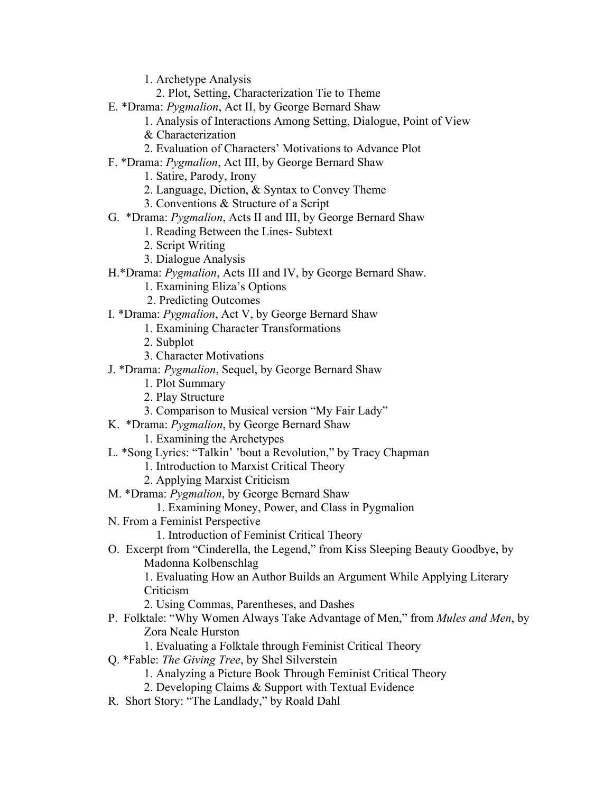- 1. Archetype Analysis
	- 2. Plot, Setting, Characterization Tie to Theme
- E. \*Drama: *Pygmalion*, Act II, by George Bernard Shaw
	- 1. Analysis of Interactions Among Setting, Dialogue, Point of View
	- & Characterization
	- 2. Evaluation of Characters' Motivations to Advance Plot
- F. \*Drama: *Pygmalion*, Act III, by George Bernard Shaw
	- 1. Satire, Parody, Irony
	- 2. Language, Diction, & Syntax to Convey Theme
	- 3. Conventions & Structure of a Script
- G. \*Drama: *Pygmalion*, Acts II and III, by George Bernard Shaw
	- 1. Reading Between the Lines- Subtext
	- 2. Script Writing
	- 3. Dialogue Analysis
- H.\*Drama: *Pygmalion*, Acts III and IV, by George Bernard Shaw.
	- 1. Examining Eliza's Options
	- 2. Predicting Outcomes
- I. \*Drama: *Pygmalion*, Act V, by George Bernard Shaw
	- 1. Examining Character Transformations
	- 2. Subplot
	- 3. Character Motivations
- J. \*Drama: *Pygmalion*, Sequel, by George Bernard Shaw
	- 1. Plot Summary
	- 2. Play Structure
	- 3. Comparison to Musical version "My Fair Lady"
- K. \*Drama: *Pygmalion*, by George Bernard Shaw
	- 1. Examining the Archetypes
- L. \*Song Lyrics: "Talkin' 'bout a Revolution," by Tracy Chapman
	- 1. Introduction to Marxist Critical Theory
	- 2. Applying Marxist Criticism
- M. \*Drama: *Pygmalion*, by George Bernard Shaw
	- 1. Examining Money, Power, and Class in Pygmalion
- N. From a Feminist Perspective
	- 1. Introduction of Feminist Critical Theory
- O. Excerpt from "Cinderella, the Legend," from Kiss Sleeping Beauty Goodbye, by Madonna Kolbenschlag

1. Evaluating How an Author Builds an Argument While Applying Literary Criticism

2. Using Commas, Parentheses, and Dashes

- P. Folktale: "Why Women Always Take Advantage of Men," from *Mules and Men*, by Zora Neale Hurston
	- 1. Evaluating a Folktale through Feminist Critical Theory
- Q. \*Fable: *The Giving Tree*, by Shel Silverstein
	- 1. Analyzing a Picture Book Through Feminist Critical Theory
	- 2. Developing Claims & Support with Textual Evidence
- R. Short Story: "The Landlady," by Roald Dahl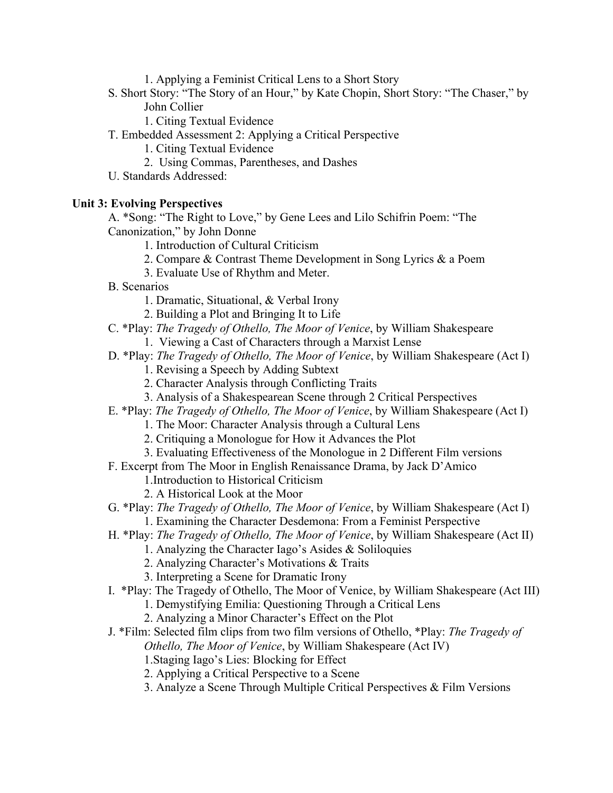1. Applying a Feminist Critical Lens to a Short Story

- S. Short Story: "The Story of an Hour," by Kate Chopin, Short Story: "The Chaser," by John Collier
	- 1. Citing Textual Evidence
- T. Embedded Assessment 2: Applying a Critical Perspective
	- 1. Citing Textual Evidence
	- 2. Using Commas, Parentheses, and Dashes
- U. Standards Addressed:

# **Unit 3: Evolving Perspectives**

A. \*Song: "The Right to Love," by Gene Lees and Lilo Schifrin Poem: "The Canonization," by John Donne

- 1. Introduction of Cultural Criticism
- 2. Compare & Contrast Theme Development in Song Lyrics & a Poem
- 3. Evaluate Use of Rhythm and Meter.
- B. Scenarios
	- 1. Dramatic, Situational, & Verbal Irony
	- 2. Building a Plot and Bringing It to Life
- C. \*Play: *The Tragedy of Othello, The Moor of Venice*, by William Shakespeare
	- 1. Viewing a Cast of Characters through a Marxist Lense
- D. \*Play: *The Tragedy of Othello, The Moor of Venice*, by William Shakespeare (Act I)
	- 1. Revising a Speech by Adding Subtext
	- 2. Character Analysis through Conflicting Traits
	- 3. Analysis of a Shakespearean Scene through 2 Critical Perspectives
- E. \*Play: *The Tragedy of Othello, The Moor of Venice*, by William Shakespeare (Act I)
	- 1. The Moor: Character Analysis through a Cultural Lens
	- 2. Critiquing a Monologue for How it Advances the Plot
	- 3. Evaluating Effectiveness of the Monologue in 2 Different Film versions
- F. Excerpt from The Moor in English Renaissance Drama, by Jack D'Amico
	- 1.Introduction to Historical Criticism
	- 2. A Historical Look at the Moor
- G. \*Play: *The Tragedy of Othello, The Moor of Venice*, by William Shakespeare (Act I)
	- 1. Examining the Character Desdemona: From a Feminist Perspective
- H. \*Play: *The Tragedy of Othello, The Moor of Venice*, by William Shakespeare (Act II)
	- 1. Analyzing the Character Iago's Asides & Soliloquies
	- 2. Analyzing Character's Motivations & Traits
	- 3. Interpreting a Scene for Dramatic Irony
- I. \*Play: The Tragedy of Othello, The Moor of Venice, by William Shakespeare (Act III)
	- 1. Demystifying Emilia: Questioning Through a Critical Lens
	- 2. Analyzing a Minor Character's Effect on the Plot
- J. \*Film: Selected film clips from two film versions of Othello, \*Play: *The Tragedy of Othello, The Moor of Venice*, by William Shakespeare (Act IV)

1.Staging Iago's Lies: Blocking for Effect

- 2. Applying a Critical Perspective to a Scene
- 3. Analyze a Scene Through Multiple Critical Perspectives & Film Versions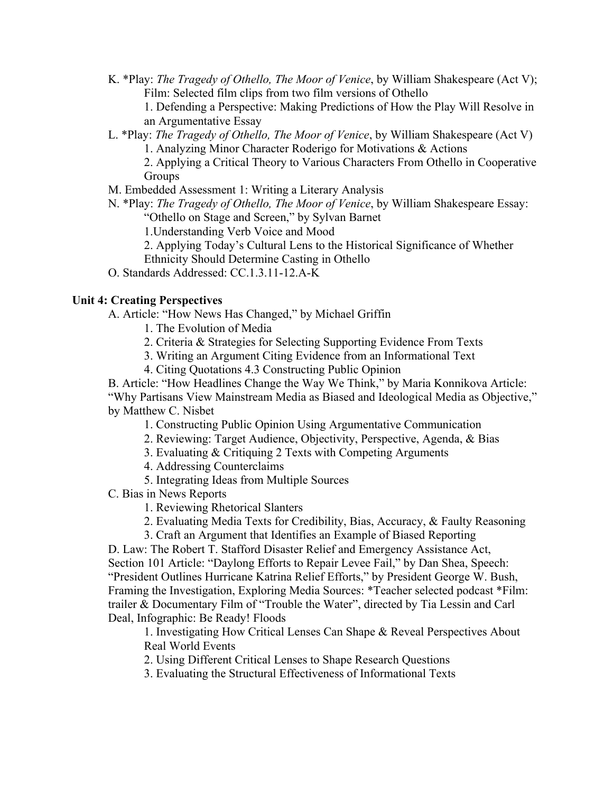K. \*Play: *The Tragedy of Othello, The Moor of Venice*, by William Shakespeare (Act V); Film: Selected film clips from two film versions of Othello

1. Defending a Perspective: Making Predictions of How the Play Will Resolve in an Argumentative Essay

L. \*Play: *The Tragedy of Othello, The Moor of Venice*, by William Shakespeare (Act V) 1. Analyzing Minor Character Roderigo for Motivations & Actions

2. Applying a Critical Theory to Various Characters From Othello in Cooperative Groups

- M. Embedded Assessment 1: Writing a Literary Analysis
- N. \*Play: *The Tragedy of Othello, The Moor of Venice*, by William Shakespeare Essay: "Othello on Stage and Screen," by Sylvan Barnet

1.Understanding Verb Voice and Mood

- 2. Applying Today's Cultural Lens to the Historical Significance of Whether Ethnicity Should Determine Casting in Othello
- O. Standards Addressed: CC.1.3.11-12.A-K

#### **Unit 4: Creating Perspectives**

A. Article: "How News Has Changed," by Michael Griffin

- 1. The Evolution of Media
- 2. Criteria & Strategies for Selecting Supporting Evidence From Texts
- 3. Writing an Argument Citing Evidence from an Informational Text
- 4. Citing Quotations 4.3 Constructing Public Opinion

B. Article: "How Headlines Change the Way We Think," by Maria Konnikova Article: "Why Partisans View Mainstream Media as Biased and Ideological Media as Objective," by Matthew C. Nisbet

- 1. Constructing Public Opinion Using Argumentative Communication
- 2. Reviewing: Target Audience, Objectivity, Perspective, Agenda, & Bias
- 3. Evaluating & Critiquing 2 Texts with Competing Arguments
- 4. Addressing Counterclaims
- 5. Integrating Ideas from Multiple Sources
- C. Bias in News Reports
	- 1. Reviewing Rhetorical Slanters
	- 2. Evaluating Media Texts for Credibility, Bias, Accuracy, & Faulty Reasoning
	- 3. Craft an Argument that Identifies an Example of Biased Reporting

D. Law: The Robert T. Stafford Disaster Relief and Emergency Assistance Act, Section 101 Article: "Daylong Efforts to Repair Levee Fail," by Dan Shea, Speech: "President Outlines Hurricane Katrina Relief Efforts," by President George W. Bush, Framing the Investigation, Exploring Media Sources: \*Teacher selected podcast \*Film: trailer & Documentary Film of "Trouble the Water", directed by Tia Lessin and Carl Deal, Infographic: Be Ready! Floods

1. Investigating How Critical Lenses Can Shape & Reveal Perspectives About Real World Events

- 2. Using Different Critical Lenses to Shape Research Questions
- 3. Evaluating the Structural Effectiveness of Informational Texts